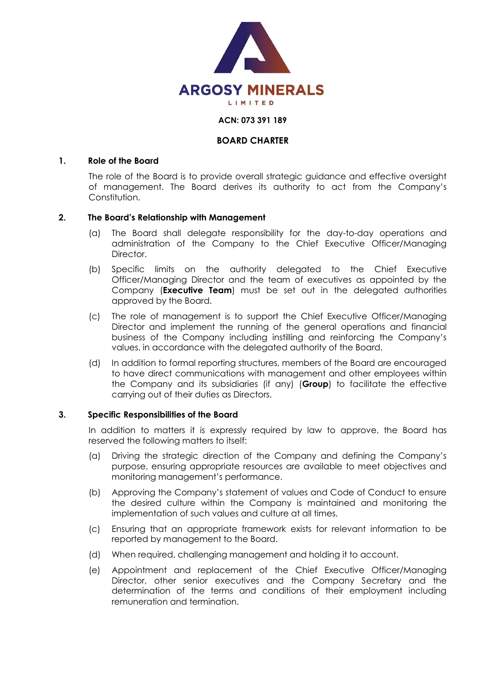

### **ACN: 073 391 189**

# **BOARD CHARTER**

#### **1. Role of the Board**

The role of the Board is to provide overall strategic guidance and effective oversight of management. The Board derives its authority to act from the Company's Constitution.

### **2. The Board's Relationship with Management**

- (a) The Board shall delegate responsibility for the day-to-day operations and administration of the Company to the Chief Executive Officer/Managing Director.
- (b) Specific limits on the authority delegated to the Chief Executive Officer/Managing Director and the team of executives as appointed by the Company (**Executive Team**) must be set out in the delegated authorities approved by the Board.
- (c) The role of management is to support the Chief Executive Officer/Managing Director and implement the running of the general operations and financial business of the Company including instilling and reinforcing the Company's values, in accordance with the delegated authority of the Board.
- (d) In addition to formal reporting structures, members of the Board are encouraged to have direct communications with management and other employees within the Company and its subsidiaries (if any) (**Group**) to facilitate the effective carrying out of their duties as Directors.

### **3. Specific Responsibilities of the Board**

In addition to matters it is expressly required by law to approve, the Board has reserved the following matters to itself:

- (a) Driving the strategic direction of the Company and defining the Company's purpose, ensuring appropriate resources are available to meet objectives and monitoring management's performance.
- (b) Approving the Company's statement of values and Code of Conduct to ensure the desired culture within the Company is maintained and monitoring the implementation of such values and culture at all times.
- (c) Ensuring that an appropriate framework exists for relevant information to be reported by management to the Board.
- (d) When required, challenging management and holding it to account.
- (e) Appointment and replacement of the Chief Executive Officer/Managing Director, other senior executives and the Company Secretary and the determination of the terms and conditions of their employment including remuneration and termination.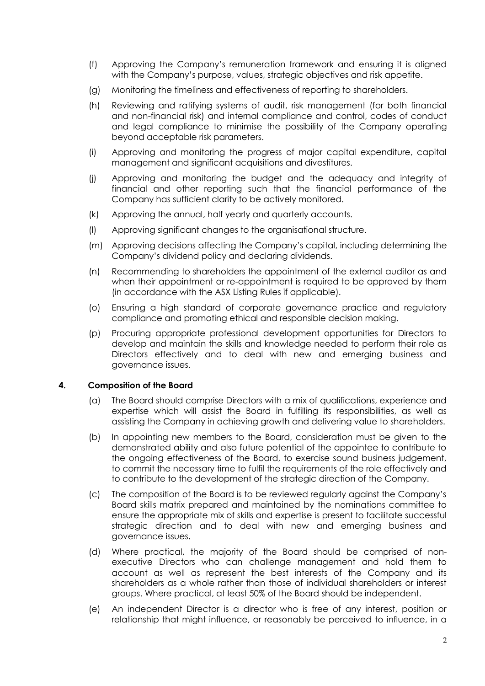- (f) Approving the Company's remuneration framework and ensuring it is aligned with the Company's purpose, values, strategic objectives and risk appetite.
- (g) Monitoring the timeliness and effectiveness of reporting to shareholders.
- (h) Reviewing and ratifying systems of audit, risk management (for both financial and non-financial risk) and internal compliance and control, codes of conduct and legal compliance to minimise the possibility of the Company operating beyond acceptable risk parameters.
- (i) Approving and monitoring the progress of major capital expenditure, capital management and significant acquisitions and divestitures.
- (j) Approving and monitoring the budget and the adequacy and integrity of financial and other reporting such that the financial performance of the Company has sufficient clarity to be actively monitored.
- (k) Approving the annual, half yearly and quarterly accounts.
- (l) Approving significant changes to the organisational structure.
- (m) Approving decisions affecting the Company's capital, including determining the Company's dividend policy and declaring dividends.
- (n) Recommending to shareholders the appointment of the external auditor as and when their appointment or re-appointment is required to be approved by them (in accordance with the ASX Listing Rules if applicable).
- (o) Ensuring a high standard of corporate governance practice and regulatory compliance and promoting ethical and responsible decision making.
- (p) Procuring appropriate professional development opportunities for Directors to develop and maintain the skills and knowledge needed to perform their role as Directors effectively and to deal with new and emerging business and governance issues.

### **4. Composition of the Board**

- (a) The Board should comprise Directors with a mix of qualifications, experience and expertise which will assist the Board in fulfilling its responsibilities, as well as assisting the Company in achieving growth and delivering value to shareholders.
- (b) In appointing new members to the Board, consideration must be given to the demonstrated ability and also future potential of the appointee to contribute to the ongoing effectiveness of the Board, to exercise sound business judgement, to commit the necessary time to fulfil the requirements of the role effectively and to contribute to the development of the strategic direction of the Company.
- (c) The composition of the Board is to be reviewed regularly against the Company's Board skills matrix prepared and maintained by the nominations committee to ensure the appropriate mix of skills and expertise is present to facilitate successful strategic direction and to deal with new and emerging business and governance issues.
- (d) Where practical, the majority of the Board should be comprised of nonexecutive Directors who can challenge management and hold them to account as well as represent the best interests of the Company and its shareholders as a whole rather than those of individual shareholders or interest groups. Where practical, at least 50% of the Board should be independent.
- (e) An independent Director is a director who is free of any interest, position or relationship that might influence, or reasonably be perceived to influence, in a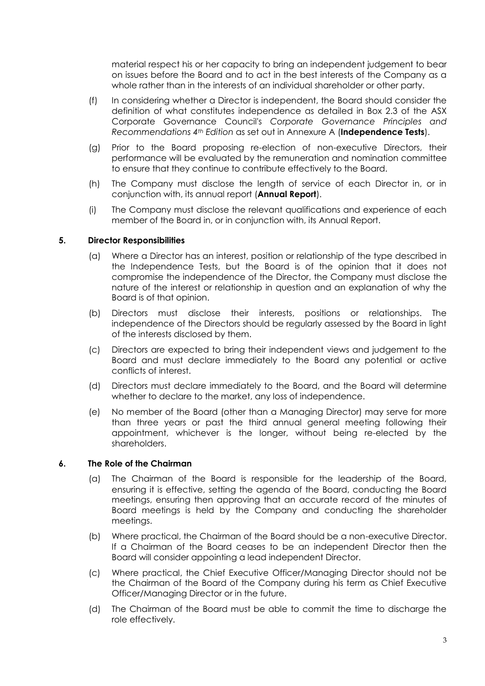material respect his or her capacity to bring an independent judgement to bear on issues before the Board and to act in the best interests of the Company as a whole rather than in the interests of an individual shareholder or other party.

- (f) In considering whether a Director is independent, the Board should consider the definition of what constitutes independence as detailed in Box 2.3 of the ASX Corporate Governance Council's *Corporate Governance Principles and Recommendations 4th Edition* as set out in Annexure A (**Independence Tests**).
- (g) Prior to the Board proposing re-election of non-executive Directors, their performance will be evaluated by the remuneration and nomination committee to ensure that they continue to contribute effectively to the Board.
- (h) The Company must disclose the length of service of each Director in, or in conjunction with, its annual report (**Annual Report**).
- (i) The Company must disclose the relevant qualifications and experience of each member of the Board in, or in conjunction with, its Annual Report.

# **5. Director Responsibilities**

- (a) Where a Director has an interest, position or relationship of the type described in the Independence Tests, but the Board is of the opinion that it does not compromise the independence of the Director, the Company must disclose the nature of the interest or relationship in question and an explanation of why the Board is of that opinion.
- (b) Directors must disclose their interests, positions or relationships. The independence of the Directors should be regularly assessed by the Board in light of the interests disclosed by them.
- (c) Directors are expected to bring their independent views and judgement to the Board and must declare immediately to the Board any potential or active conflicts of interest.
- (d) Directors must declare immediately to the Board, and the Board will determine whether to declare to the market, any loss of independence.
- (e) No member of the Board (other than a Managing Director) may serve for more than three years or past the third annual general meeting following their appointment, whichever is the longer, without being re-elected by the shareholders.

## **6. The Role of the Chairman**

- (a) The Chairman of the Board is responsible for the leadership of the Board, ensuring it is effective, setting the agenda of the Board, conducting the Board meetings, ensuring then approving that an accurate record of the minutes of Board meetings is held by the Company and conducting the shareholder meetings.
- (b) Where practical, the Chairman of the Board should be a non-executive Director. If a Chairman of the Board ceases to be an independent Director then the Board will consider appointing a lead independent Director.
- (c) Where practical, the Chief Executive Officer/Managing Director should not be the Chairman of the Board of the Company during his term as Chief Executive Officer/Managing Director or in the future.
- (d) The Chairman of the Board must be able to commit the time to discharge the role effectively.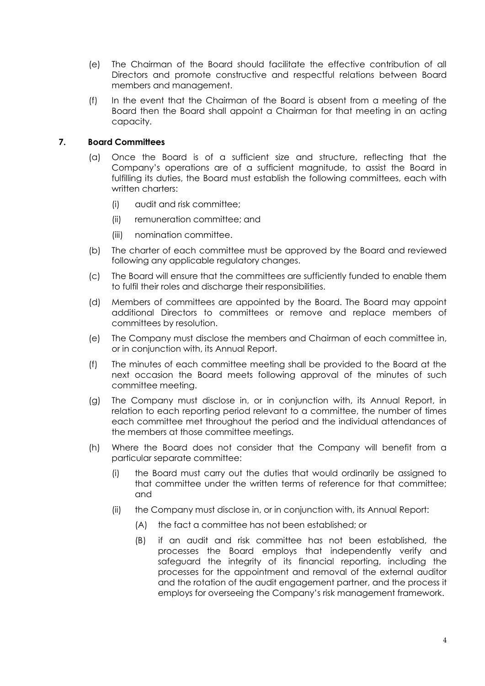- (e) The Chairman of the Board should facilitate the effective contribution of all Directors and promote constructive and respectful relations between Board members and management.
- (f) In the event that the Chairman of the Board is absent from a meeting of the Board then the Board shall appoint a Chairman for that meeting in an acting capacity.

# **7. Board Committees**

- (a) Once the Board is of a sufficient size and structure, reflecting that the Company's operations are of a sufficient magnitude, to assist the Board in fulfilling its duties, the Board must establish the following committees, each with written charters:
	- (i) audit and risk committee;
	- (ii) remuneration committee; and
	- (iii) nomination committee.
- (b) The charter of each committee must be approved by the Board and reviewed following any applicable regulatory changes.
- (c) The Board will ensure that the committees are sufficiently funded to enable them to fulfil their roles and discharge their responsibilities.
- (d) Members of committees are appointed by the Board. The Board may appoint additional Directors to committees or remove and replace members of committees by resolution.
- (e) The Company must disclose the members and Chairman of each committee in, or in conjunction with, its Annual Report.
- (f) The minutes of each committee meeting shall be provided to the Board at the next occasion the Board meets following approval of the minutes of such committee meeting.
- (g) The Company must disclose in, or in conjunction with, its Annual Report, in relation to each reporting period relevant to a committee, the number of times each committee met throughout the period and the individual attendances of the members at those committee meetings.
- (h) Where the Board does not consider that the Company will benefit from a particular separate committee:
	- (i) the Board must carry out the duties that would ordinarily be assigned to that committee under the written terms of reference for that committee; and
	- (ii) the Company must disclose in, or in conjunction with, its Annual Report:
		- (A) the fact a committee has not been established; or
		- (B) if an audit and risk committee has not been established, the processes the Board employs that independently verify and safeguard the integrity of its financial reporting, including the processes for the appointment and removal of the external auditor and the rotation of the audit engagement partner, and the process it employs for overseeing the Company's risk management framework.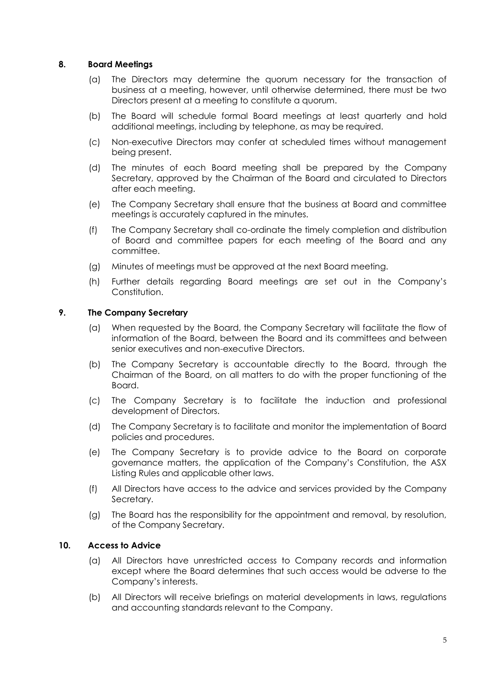## **8. Board Meetings**

- (a) The Directors may determine the quorum necessary for the transaction of business at a meeting, however, until otherwise determined, there must be two Directors present at a meeting to constitute a quorum.
- (b) The Board will schedule formal Board meetings at least quarterly and hold additional meetings, including by telephone, as may be required.
- (c) Non-executive Directors may confer at scheduled times without management being present.
- (d) The minutes of each Board meeting shall be prepared by the Company Secretary, approved by the Chairman of the Board and circulated to Directors after each meeting.
- (e) The Company Secretary shall ensure that the business at Board and committee meetings is accurately captured in the minutes.
- (f) The Company Secretary shall co-ordinate the timely completion and distribution of Board and committee papers for each meeting of the Board and any committee.
- (g) Minutes of meetings must be approved at the next Board meeting.
- (h) Further details regarding Board meetings are set out in the Company's Constitution.

# **9. The Company Secretary**

- (a) When requested by the Board, the Company Secretary will facilitate the flow of information of the Board, between the Board and its committees and between senior executives and non-executive Directors.
- (b) The Company Secretary is accountable directly to the Board, through the Chairman of the Board, on all matters to do with the proper functioning of the Board.
- (c) The Company Secretary is to facilitate the induction and professional development of Directors.
- (d) The Company Secretary is to facilitate and monitor the implementation of Board policies and procedures.
- (e) The Company Secretary is to provide advice to the Board on corporate governance matters, the application of the Company's Constitution, the ASX Listing Rules and applicable other laws.
- (f) All Directors have access to the advice and services provided by the Company Secretary.
- (g) The Board has the responsibility for the appointment and removal, by resolution, of the Company Secretary.

## **10. Access to Advice**

- (a) All Directors have unrestricted access to Company records and information except where the Board determines that such access would be adverse to the Company's interests.
- (b) All Directors will receive briefings on material developments in laws, regulations and accounting standards relevant to the Company.